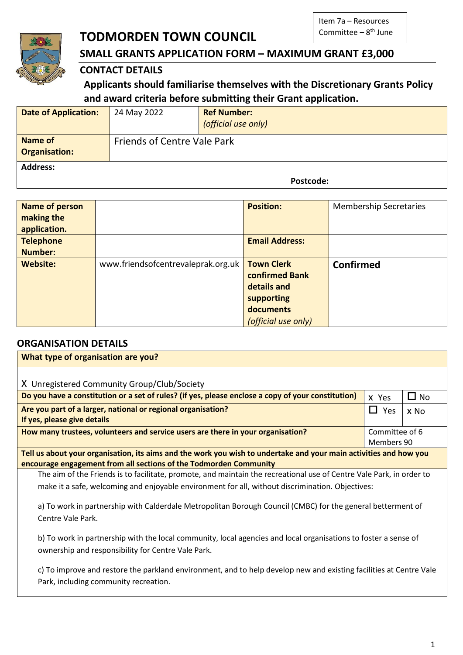# **TODMORDEN TOWN COUNCIL**



# **SMALL GRANTS APPLICATION FORM – MAXIMUM GRANT £3,000**

# **CONTACT DETAILS**

**Applicants should familiarise themselves with the Discretionary Grants Policy and award criteria before submitting their Grant application.** 

| <b>Date of Application:</b>            | 24 May 2022                        | <b>Ref Number:</b><br>(official use only) |           |
|----------------------------------------|------------------------------------|-------------------------------------------|-----------|
| <b>Name of</b><br><b>Organisation:</b> | <b>Friends of Centre Vale Park</b> |                                           |           |
| <b>Address:</b>                        |                                    |                                           | Postcode: |

| Name of person<br>making the<br>application. |                                    | <b>Position:</b>                                                                                     | <b>Membership Secretaries</b> |
|----------------------------------------------|------------------------------------|------------------------------------------------------------------------------------------------------|-------------------------------|
| <b>Telephone</b>                             |                                    | <b>Email Address:</b>                                                                                |                               |
| <b>Number:</b>                               |                                    |                                                                                                      |                               |
| <b>Website:</b>                              | www.friendsofcentrevaleprak.org.uk | <b>Town Clerk</b><br>confirmed Bank<br>details and<br>supporting<br>documents<br>(official use only) | <b>Confirmed</b>              |

## **ORGANISATION DETAILS**

| What type of organisation are you?                                                                                   |                |           |  |
|----------------------------------------------------------------------------------------------------------------------|----------------|-----------|--|
|                                                                                                                      |                |           |  |
| X Unregistered Community Group/Club/Society                                                                          |                |           |  |
| Do you have a constitution or a set of rules? (if yes, please enclose a copy of your constitution)                   | x Yes          | $\Box$ No |  |
| Are you part of a larger, national or regional organisation?                                                         | Yes<br>I I -   | x No      |  |
| If yes, please give details                                                                                          |                |           |  |
| How many trustees, volunteers and service users are there in your organisation?                                      | Committee of 6 |           |  |
|                                                                                                                      | Members 90     |           |  |
| Tell us about your organisation, its aims and the work you wish to undertake and your main activities and how you    |                |           |  |
| encourage engagement from all sections of the Todmorden Community                                                    |                |           |  |
| The aim of the Friends is to facilitate, promote, and maintain the recreational use of Centre Vale Park, in order to |                |           |  |
| make it a safe, welcoming and enjoyable environment for all, without discrimination. Objectives:                     |                |           |  |
|                                                                                                                      |                |           |  |

a) To work in partnership with Calderdale Metropolitan Borough Council (CMBC) for the general betterment of Centre Vale Park.

b) To work in partnership with the local community, local agencies and local organisations to foster a sense of ownership and responsibility for Centre Vale Park.

c) To improve and restore the parkland environment, and to help develop new and existing facilities at Centre Vale Park, including community recreation.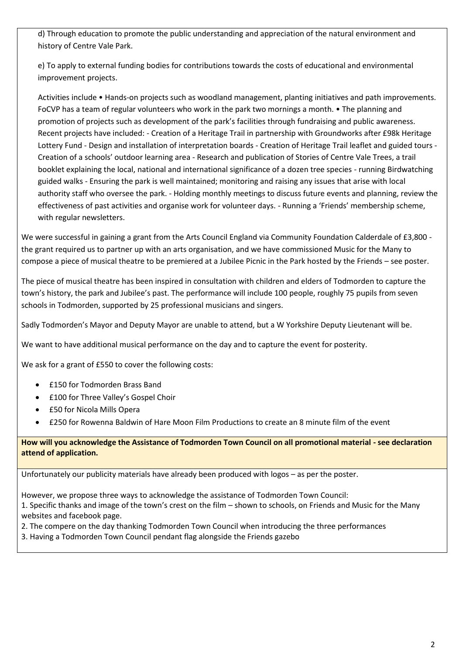d) Through education to promote the public understanding and appreciation of the natural environment and history of Centre Vale Park.

e) To apply to external funding bodies for contributions towards the costs of educational and environmental improvement projects.

Activities include • Hands-on projects such as woodland management, planting initiatives and path improvements. FoCVP has a team of regular volunteers who work in the park two mornings a month. • The planning and promotion of projects such as development of the park's facilities through fundraising and public awareness. Recent projects have included: - Creation of a Heritage Trail in partnership with Groundworks after £98k Heritage Lottery Fund - Design and installation of interpretation boards - Creation of Heritage Trail leaflet and guided tours - Creation of a schools' outdoor learning area - Research and publication of Stories of Centre Vale Trees, a trail booklet explaining the local, national and international significance of a dozen tree species - running Birdwatching guided walks - Ensuring the park is well maintained; monitoring and raising any issues that arise with local authority staff who oversee the park. - Holding monthly meetings to discuss future events and planning, review the effectiveness of past activities and organise work for volunteer days. - Running a 'Friends' membership scheme, with regular newsletters.

We were successful in gaining a grant from the Arts Council England via Community Foundation Calderdale of £3,800 the grant required us to partner up with an arts organisation, and we have commissioned Music for the Many to compose a piece of musical theatre to be premiered at a Jubilee Picnic in the Park hosted by the Friends – see poster.

The piece of musical theatre has been inspired in consultation with children and elders of Todmorden to capture the town's history, the park and Jubilee's past. The performance will include 100 people, roughly 75 pupils from seven schools in Todmorden, supported by 25 professional musicians and singers.

Sadly Todmorden's Mayor and Deputy Mayor are unable to attend, but a W Yorkshire Deputy Lieutenant will be.

We want to have additional musical performance on the day and to capture the event for posterity.

We ask for a grant of £550 to cover the following costs:

- £150 for Todmorden Brass Band
- £100 for Three Valley's Gospel Choir
- £50 for Nicola Mills Opera
- £250 for Rowenna Baldwin of Hare Moon Film Productions to create an 8 minute film of the event

**How will you acknowledge the Assistance of Todmorden Town Council on all promotional material - see declaration attend of application.**

Unfortunately our publicity materials have already been produced with logos – as per the poster.

However, we propose three ways to acknowledge the assistance of Todmorden Town Council: 1. Specific thanks and image of the town's crest on the film – shown to schools, on Friends and Music for the Many websites and facebook page.

- 2. The compere on the day thanking Todmorden Town Council when introducing the three performances
- 3. Having a Todmorden Town Council pendant flag alongside the Friends gazebo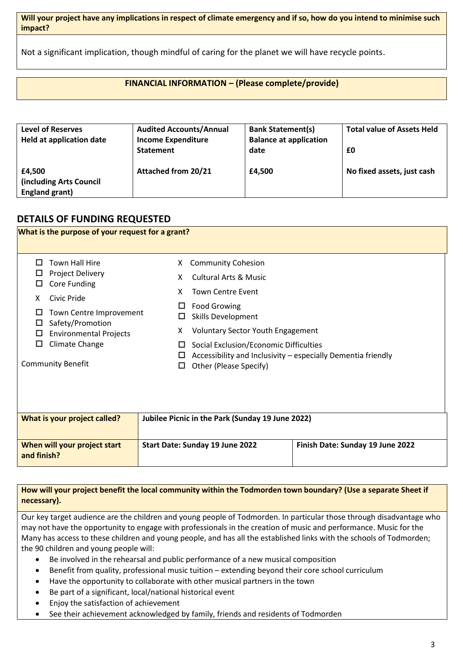**Will your project have any implications in respect of climate emergency and if so, how do you intend to minimise such impact?**

Not a significant implication, though mindful of caring for the planet we will have recycle points.

#### **FINANCIAL INFORMATION – (Please complete/provide)**

| <b>Level of Reserves</b><br><b>Held at application date</b> | <b>Audited Accounts/Annual</b><br><b>Income Expenditure</b><br><b>Statement</b> | <b>Bank Statement(s)</b><br><b>Balance at application</b><br>date | <b>Total value of Assets Held</b><br>£0 |
|-------------------------------------------------------------|---------------------------------------------------------------------------------|-------------------------------------------------------------------|-----------------------------------------|
| £4,500<br>(including Arts Council<br><b>England grant)</b>  | <b>Attached from 20/21</b>                                                      | £4,500                                                            | No fixed assets, just cash              |

### **DETAILS OF FUNDING REQUESTED**

|                                                                                                                                                                                    | What is the purpose of your request for a grant?         |                                                                                                                                                                                                                                                                                                                                                          |
|------------------------------------------------------------------------------------------------------------------------------------------------------------------------------------|----------------------------------------------------------|----------------------------------------------------------------------------------------------------------------------------------------------------------------------------------------------------------------------------------------------------------------------------------------------------------------------------------------------------------|
| <b>Town Hall Hire</b><br>П<br>Project Delivery<br>ப<br>Core Funding<br>ப<br>Civic Pride<br>X<br>ப<br>Safety/Promotion<br>□<br>□<br>Climate Change<br>□<br><b>Community Benefit</b> | Town Centre Improvement<br><b>Environmental Projects</b> | <b>Community Cohesion</b><br>X.<br><b>Cultural Arts &amp; Music</b><br>X<br><b>Town Centre Event</b><br>x<br><b>Food Growing</b><br><b>Skills Development</b><br><b>Voluntary Sector Youth Engagement</b><br>X.<br>Social Exclusion/Economic Difficulties<br>Accessibility and Inclusivity – especially Dementia friendly<br>Other (Please Specify)<br>□ |
| What is your project called?                                                                                                                                                       |                                                          | Jubilee Picnic in the Park (Sunday 19 June 2022)                                                                                                                                                                                                                                                                                                         |

| When will your project start<br>and finish? | Start Date: Sunday 19 June 2022 | Finish Date: Sunday 19 June 2022 |
|---------------------------------------------|---------------------------------|----------------------------------|
|                                             |                                 |                                  |

#### **How will your project benefit the local community within the Todmorden town boundary? (Use a separate Sheet if necessary).**

Our key target audience are the children and young people of Todmorden. In particular those through disadvantage who may not have the opportunity to engage with professionals in the creation of music and performance. Music for the Many has access to these children and young people, and has all the established links with the schools of Todmorden; the 90 children and young people will:

- Be involved in the rehearsal and public performance of a new musical composition
- Benefit from quality, professional music tuition extending beyond their core school curriculum
- Have the opportunity to collaborate with other musical partners in the town
- Be part of a significant, local/national historical event
- Enjoy the satisfaction of achievement
- See their achievement acknowledged by family, friends and residents of Todmorden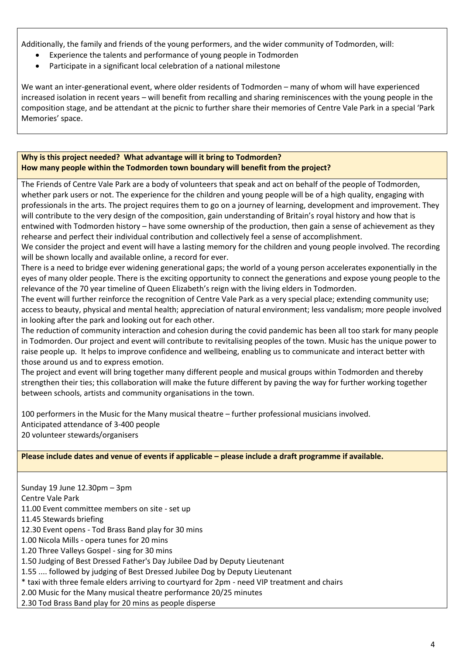Additionally, the family and friends of the young performers, and the wider community of Todmorden, will:

- Experience the talents and performance of young people in Todmorden
- Participate in a significant local celebration of a national milestone

We want an inter-generational event, where older residents of Todmorden – many of whom will have experienced increased isolation in recent years – will benefit from recalling and sharing reminiscences with the young people in the composition stage, and be attendant at the picnic to further share their memories of Centre Vale Park in a special 'Park Memories' space.

#### **Why is this project needed? What advantage will it bring to Todmorden? How many people within the Todmorden town boundary will benefit from the project?**

The Friends of Centre Vale Park are a body of volunteers that speak and act on behalf of the people of Todmorden, whether park users or not. The experience for the children and young people will be of a high quality, engaging with professionals in the arts. The project requires them to go on a journey of learning, development and improvement. They will contribute to the very design of the composition, gain understanding of Britain's royal history and how that is entwined with Todmorden history – have some ownership of the production, then gain a sense of achievement as they rehearse and perfect their individual contribution and collectively feel a sense of accomplishment.

We consider the project and event will have a lasting memory for the children and young people involved. The recording will be shown locally and available online, a record for ever.

There is a need to bridge ever widening generational gaps; the world of a young person accelerates exponentially in the eyes of many older people. There is the exciting opportunity to connect the generations and expose young people to the relevance of the 70 year timeline of Queen Elizabeth's reign with the living elders in Todmorden.

The event will further reinforce the recognition of Centre Vale Park as a very special place; extending community use; access to beauty, physical and mental health; appreciation of natural environment; less vandalism; more people involved in looking after the park and looking out for each other.

The reduction of community interaction and cohesion during the covid pandemic has been all too stark for many people in Todmorden. Our project and event will contribute to revitalising peoples of the town. Music has the unique power to raise people up. It helps to improve confidence and wellbeing, enabling us to communicate and interact better with those around us and to express emotion.

The project and event will bring together many different people and musical groups within Todmorden and thereby strengthen their ties; this collaboration will make the future different by paving the way for further working together between schools, artists and community organisations in the town.

100 performers in the Music for the Many musical theatre – further professional musicians involved. Anticipated attendance of 3-400 people 20 volunteer stewards/organisers

**Please include dates and venue of events if applicable – please include a draft programme if available.**

Sunday 19 June 12.30pm – 3pm Centre Vale Park 11.00 Event committee members on site - set up 11.45 Stewards briefing 12.30 Event opens - Tod Brass Band play for 30 mins 1.00 Nicola Mills - opera tunes for 20 mins 1.20 Three Valleys Gospel - sing for 30 mins 1.50 Judging of Best Dressed Father's Day Jubilee Dad by Deputy Lieutenant 1.55 .... followed by judging of Best Dressed Jubilee Dog by Deputy Lieutenant \* taxi with three female elders arriving to courtyard for 2pm - need VIP treatment and chairs 2.00 Music for the Many musical theatre performance 20/25 minutes 2.30 Tod Brass Band play for 20 mins as people disperse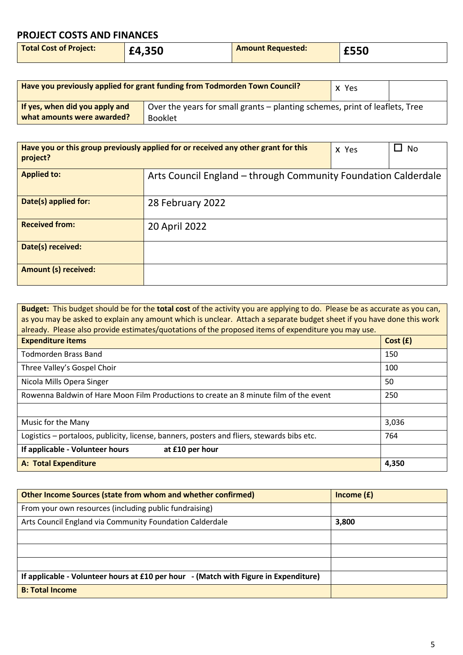# **PROJECT COSTS AND FINANCES**

| <b>Total Cost of Project:</b> | £4,350 | <b>Amount Requested:</b> | £550 |
|-------------------------------|--------|--------------------------|------|
|                               |        |                          |      |

| Have you previously applied for grant funding from Todmorden Town Council? |                                                                             | x Yes |  |
|----------------------------------------------------------------------------|-----------------------------------------------------------------------------|-------|--|
| If yes, when did you apply and                                             | Over the years for small grants – planting schemes, print of leaflets, Tree |       |  |
| what amounts were awarded?                                                 | <b>Booklet</b>                                                              |       |  |

| Have you or this group previously applied for or received any other grant for this<br>project? |                                                                | X Yes | No |
|------------------------------------------------------------------------------------------------|----------------------------------------------------------------|-------|----|
| <b>Applied to:</b>                                                                             | Arts Council England - through Community Foundation Calderdale |       |    |
| Date(s) applied for:                                                                           | 28 February 2022                                               |       |    |
| <b>Received from:</b>                                                                          | 20 April 2022                                                  |       |    |
| Date(s) received:                                                                              |                                                                |       |    |
| <b>Amount (s) received:</b>                                                                    |                                                                |       |    |

| Budget: This budget should be for the total cost of the activity you are applying to do. Please be as accurate as you can,<br>as you may be asked to explain any amount which is unclear. Attach a separate budget sheet if you have done this work<br>already. Please also provide estimates/quotations of the proposed items of expenditure you may use. |         |  |
|------------------------------------------------------------------------------------------------------------------------------------------------------------------------------------------------------------------------------------------------------------------------------------------------------------------------------------------------------------|---------|--|
| <b>Expenditure items</b>                                                                                                                                                                                                                                                                                                                                   | Cost(f) |  |
| Todmorden Brass Band                                                                                                                                                                                                                                                                                                                                       | 150     |  |
| Three Valley's Gospel Choir                                                                                                                                                                                                                                                                                                                                | 100     |  |
| Nicola Mills Opera Singer                                                                                                                                                                                                                                                                                                                                  | 50      |  |
| Rowenna Baldwin of Hare Moon Film Productions to create an 8 minute film of the event                                                                                                                                                                                                                                                                      | 250     |  |
|                                                                                                                                                                                                                                                                                                                                                            |         |  |
| Music for the Many                                                                                                                                                                                                                                                                                                                                         | 3,036   |  |
| Logistics - portaloos, publicity, license, banners, posters and fliers, stewards bibs etc.<br>764                                                                                                                                                                                                                                                          |         |  |
| If applicable - Volunteer hours<br>at £10 per hour                                                                                                                                                                                                                                                                                                         |         |  |
| <b>A: Total Expenditure</b>                                                                                                                                                                                                                                                                                                                                | 4,350   |  |

| <b>Other Income Sources (state from whom and whether confirmed)</b>                  | Income $(f)$ |
|--------------------------------------------------------------------------------------|--------------|
| From your own resources (including public fundraising)                               |              |
| Arts Council England via Community Foundation Calderdale                             | 3,800        |
|                                                                                      |              |
|                                                                                      |              |
|                                                                                      |              |
| If applicable - Volunteer hours at £10 per hour - (Match with Figure in Expenditure) |              |
| <b>B: Total Income</b>                                                               |              |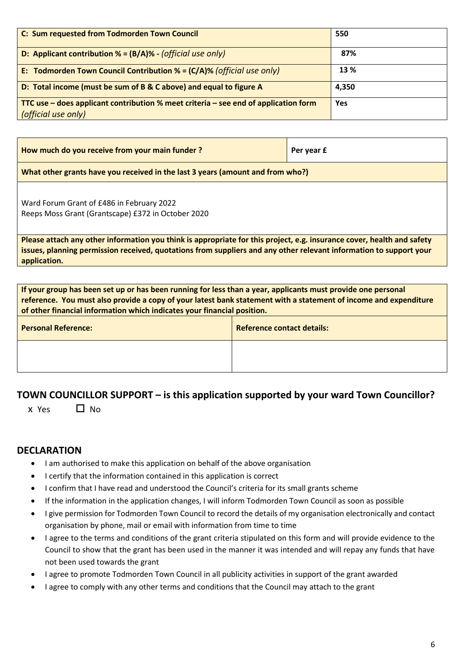| C: Sum requested from Todmorden Town Council                                          | 550        |
|---------------------------------------------------------------------------------------|------------|
| D: Applicant contribution $% = (B/A)% - (official use only))$                         | 87%        |
| E: Todmorden Town Council Contribution % = $(C/A)$ % (official use only)              | 13 %       |
| D: Total income (must be sum of B & C above) and equal to figure A                    | 4,350      |
| TTC use – does applicant contribution $%$ meet criteria – see end of application form | <b>Yes</b> |
| (official use only)                                                                   |            |

| How much do you receive from your main funder? | Per year £ |
|------------------------------------------------|------------|
|------------------------------------------------|------------|

**What other grants have you received in the last 3 years (amount and from who?)**

Ward Forum Grant of £486 in February 2022 Reeps Moss Grant (Grantscape) £372 in October 2020

**Please attach any other information you think is appropriate for this project, e.g. insurance cover, health and safety issues, planning permission received, quotations from suppliers and any other relevant information to support your application.**

| If your group has been set up or has been running for less than a year, applicants must provide one personal<br>reference. You must also provide a copy of your latest bank statement with a statement of income and expenditure<br>of other financial information which indicates your financial position. |                                   |  |
|-------------------------------------------------------------------------------------------------------------------------------------------------------------------------------------------------------------------------------------------------------------------------------------------------------------|-----------------------------------|--|
| <b>Personal Reference:</b>                                                                                                                                                                                                                                                                                  | <b>Reference contact details:</b> |  |
|                                                                                                                                                                                                                                                                                                             |                                   |  |

## **TOWN COUNCILLOR SUPPORT – is this application supported by your ward Town Councillor?**

 $x \text{ Yes}$   $\Box$  No

#### **DECLARATION**

- I am authorised to make this application on behalf of the above organisation
- I certify that the information contained in this application is correct
- I confirm that I have read and understood the Council's criteria for its small grants scheme
- If the information in the application changes, I will inform Todmorden Town Council as soon as possible
- I give permission for Todmorden Town Council to record the details of my organisation electronically and contact organisation by phone, mail or email with information from time to time
- I agree to the terms and conditions of the grant criteria stipulated on this form and will provide evidence to the Council to show that the grant has been used in the manner it was intended and will repay any funds that have not been used towards the grant
- I agree to promote Todmorden Town Council in all publicity activities in support of the grant awarded
- I agree to comply with any other terms and conditions that the Council may attach to the grant